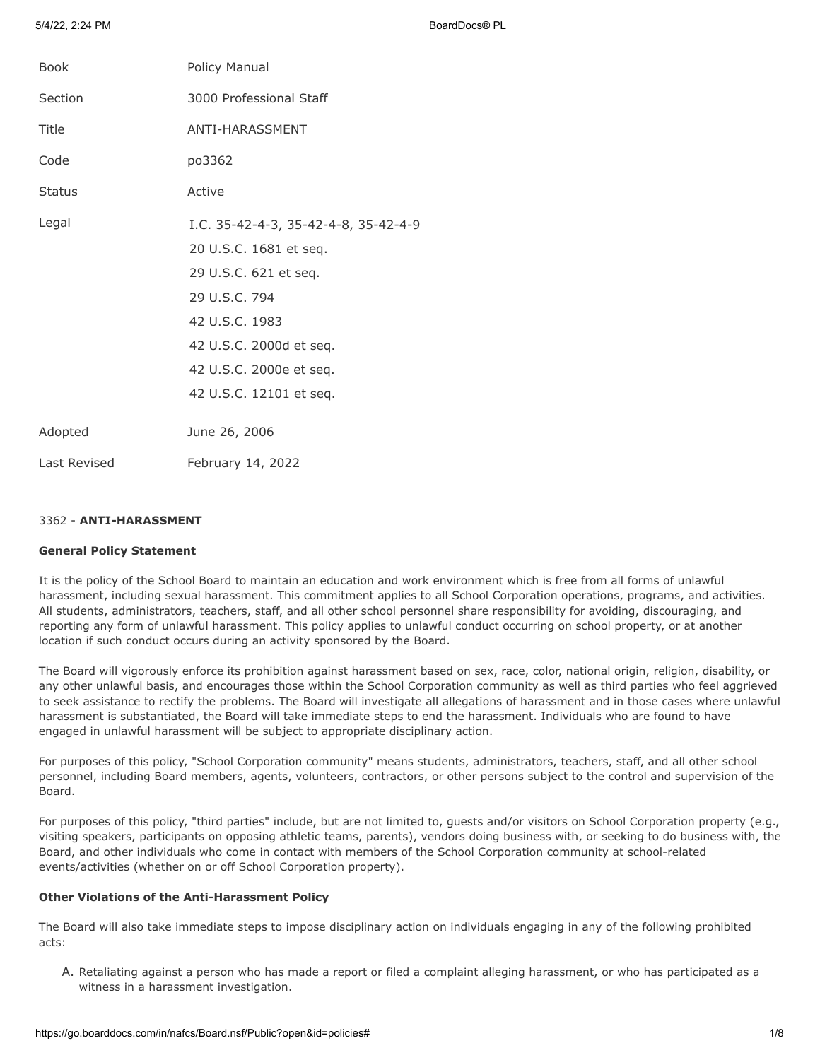5/4/22, 2:24 PM BoardDocs® PL

| <b>Book</b>   | Policy Manual                                                                                                                                                                                               |
|---------------|-------------------------------------------------------------------------------------------------------------------------------------------------------------------------------------------------------------|
| Section       | 3000 Professional Staff                                                                                                                                                                                     |
| Title         | ANTI-HARASSMENT                                                                                                                                                                                             |
| Code          | po3362                                                                                                                                                                                                      |
| <b>Status</b> | Active                                                                                                                                                                                                      |
| Legal         | I.C. 35-42-4-3, 35-42-4-8, 35-42-4-9<br>20 U.S.C. 1681 et seq.<br>29 U.S.C. 621 et seq.<br>29 U.S.C. 794<br>42 U.S.C. 1983<br>42 U.S.C. 2000d et seq.<br>42 U.S.C. 2000e et seq.<br>42 U.S.C. 12101 et seq. |
| Adopted       | June 26, 2006                                                                                                                                                                                               |
| Last Revised  | February 14, 2022                                                                                                                                                                                           |

# 3362 - **ANTI-HARASSMENT**

### **General Policy Statement**

It is the policy of the School Board to maintain an education and work environment which is free from all forms of unlawful harassment, including sexual harassment. This commitment applies to all School Corporation operations, programs, and activities. All students, administrators, teachers, staff, and all other school personnel share responsibility for avoiding, discouraging, and reporting any form of unlawful harassment. This policy applies to unlawful conduct occurring on school property, or at another location if such conduct occurs during an activity sponsored by the Board.

The Board will vigorously enforce its prohibition against harassment based on sex, race, color, national origin, religion, disability, or any other unlawful basis, and encourages those within the School Corporation community as well as third parties who feel aggrieved to seek assistance to rectify the problems. The Board will investigate all allegations of harassment and in those cases where unlawful harassment is substantiated, the Board will take immediate steps to end the harassment. Individuals who are found to have engaged in unlawful harassment will be subject to appropriate disciplinary action.

For purposes of this policy, "School Corporation community" means students, administrators, teachers, staff, and all other school personnel, including Board members, agents, volunteers, contractors, or other persons subject to the control and supervision of the Board.

For purposes of this policy, "third parties" include, but are not limited to, guests and/or visitors on School Corporation property (e.g., visiting speakers, participants on opposing athletic teams, parents), vendors doing business with, or seeking to do business with, the Board, and other individuals who come in contact with members of the School Corporation community at school-related events/activities (whether on or off School Corporation property).

# **Other Violations of the Anti-Harassment Policy**

The Board will also take immediate steps to impose disciplinary action on individuals engaging in any of the following prohibited acts:

A. Retaliating against a person who has made a report or filed a complaint alleging harassment, or who has participated as a witness in a harassment investigation.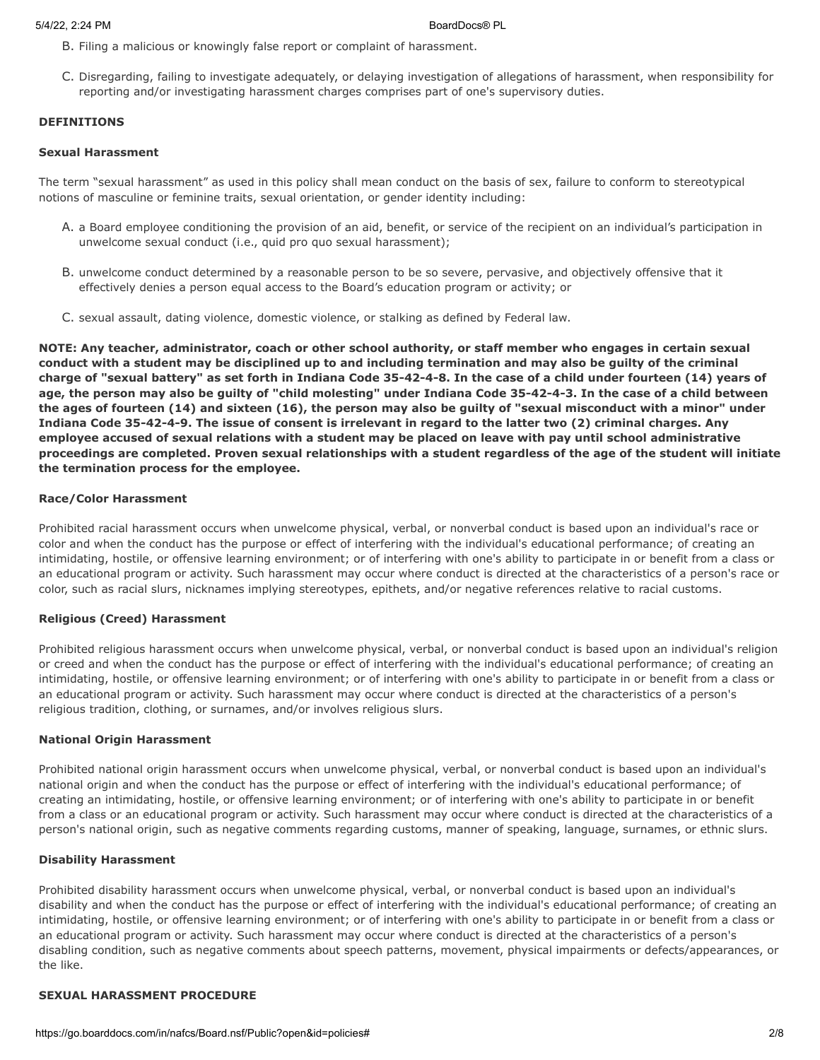- B. Filing a malicious or knowingly false report or complaint of harassment.
- C. Disregarding, failing to investigate adequately, or delaying investigation of allegations of harassment, when responsibility for reporting and/or investigating harassment charges comprises part of one's supervisory duties.

## **DEFINITIONS**

### **Sexual Harassment**

The term "sexual harassment" as used in this policy shall mean conduct on the basis of sex, failure to conform to stereotypical notions of masculine or feminine traits, sexual orientation, or gender identity including:

- A. a Board employee conditioning the provision of an aid, benefit, or service of the recipient on an individual's participation in unwelcome sexual conduct (i.e., quid pro quo sexual harassment);
- B. unwelcome conduct determined by a reasonable person to be so severe, pervasive, and objectively offensive that it effectively denies a person equal access to the Board's education program or activity; or
- C. sexual assault, dating violence, domestic violence, or stalking as defined by Federal law.

**NOTE: Any teacher, administrator, coach or other school authority, or staff member who engages in certain sexual conduct with a student may be disciplined up to and including termination and may also be guilty of the criminal charge of "sexual battery" as set forth in Indiana Code 35-42-4-8. In the case of a child under fourteen (14) years of age, the person may also be guilty of "child molesting" under Indiana Code 35-42-4-3. In the case of a child between the ages of fourteen (14) and sixteen (16), the person may also be guilty of "sexual misconduct with a minor" under Indiana Code 35-42-4-9. The issue of consent is irrelevant in regard to the latter two (2) criminal charges. Any employee accused of sexual relations with a student may be placed on leave with pay until school administrative proceedings are completed. Proven sexual relationships with a student regardless of the age of the student will initiate the termination process for the employee.**

### **Race/Color Harassment**

Prohibited racial harassment occurs when unwelcome physical, verbal, or nonverbal conduct is based upon an individual's race or color and when the conduct has the purpose or effect of interfering with the individual's educational performance; of creating an intimidating, hostile, or offensive learning environment; or of interfering with one's ability to participate in or benefit from a class or an educational program or activity. Such harassment may occur where conduct is directed at the characteristics of a person's race or color, such as racial slurs, nicknames implying stereotypes, epithets, and/or negative references relative to racial customs.

## **Religious (Creed) Harassment**

Prohibited religious harassment occurs when unwelcome physical, verbal, or nonverbal conduct is based upon an individual's religion or creed and when the conduct has the purpose or effect of interfering with the individual's educational performance; of creating an intimidating, hostile, or offensive learning environment; or of interfering with one's ability to participate in or benefit from a class or an educational program or activity. Such harassment may occur where conduct is directed at the characteristics of a person's religious tradition, clothing, or surnames, and/or involves religious slurs.

### **National Origin Harassment**

Prohibited national origin harassment occurs when unwelcome physical, verbal, or nonverbal conduct is based upon an individual's national origin and when the conduct has the purpose or effect of interfering with the individual's educational performance; of creating an intimidating, hostile, or offensive learning environment; or of interfering with one's ability to participate in or benefit from a class or an educational program or activity. Such harassment may occur where conduct is directed at the characteristics of a person's national origin, such as negative comments regarding customs, manner of speaking, language, surnames, or ethnic slurs.

### **Disability Harassment**

Prohibited disability harassment occurs when unwelcome physical, verbal, or nonverbal conduct is based upon an individual's disability and when the conduct has the purpose or effect of interfering with the individual's educational performance; of creating an intimidating, hostile, or offensive learning environment; or of interfering with one's ability to participate in or benefit from a class or an educational program or activity. Such harassment may occur where conduct is directed at the characteristics of a person's disabling condition, such as negative comments about speech patterns, movement, physical impairments or defects/appearances, or the like.

# **SEXUAL HARASSMENT PROCEDURE**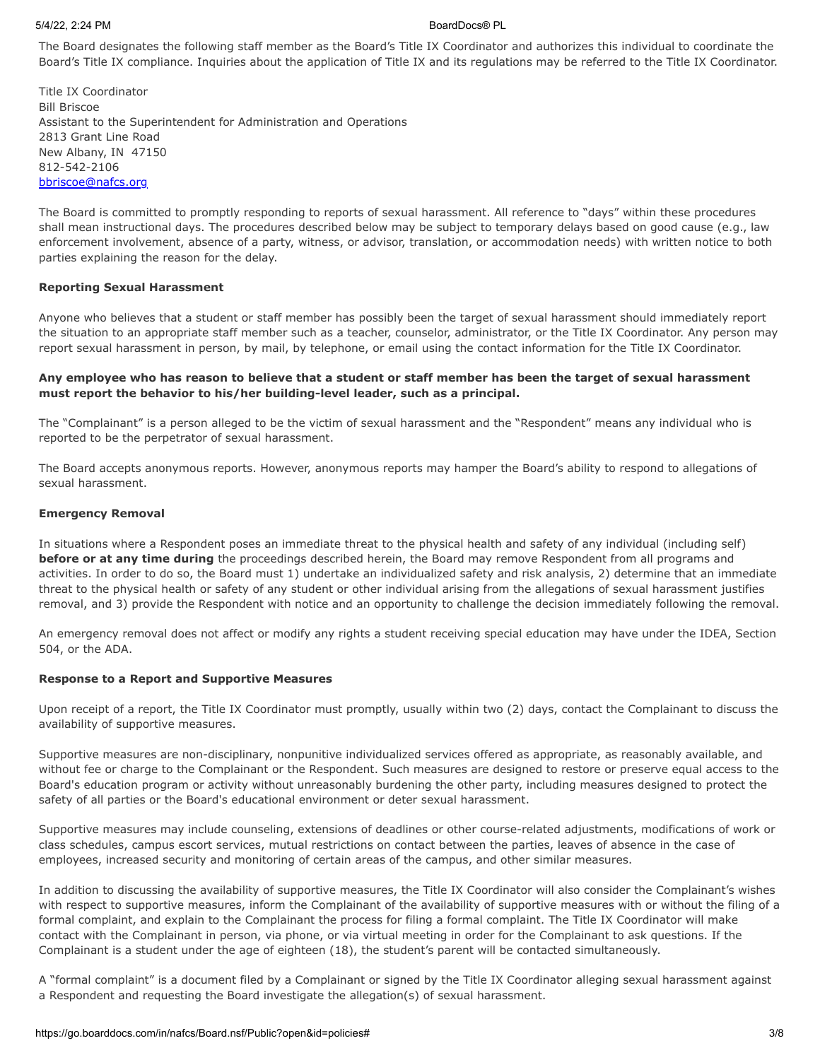### 5/4/22, 2:24 PM BoardDocs® PL

The Board designates the following staff member as the Board's Title IX Coordinator and authorizes this individual to coordinate the Board's Title IX compliance. Inquiries about the application of Title IX and its regulations may be referred to the Title IX Coordinator.

Title IX Coordinator Bill Briscoe Assistant to the Superintendent for Administration and Operations 2813 Grant Line Road New Albany, IN 47150 812-542-2106 [bbriscoe@nafcs.org](mailto:bbriscoe@nafcs.org)

The Board is committed to promptly responding to reports of sexual harassment. All reference to "days" within these procedures shall mean instructional days. The procedures described below may be subject to temporary delays based on good cause (e.g., law enforcement involvement, absence of a party, witness, or advisor, translation, or accommodation needs) with written notice to both parties explaining the reason for the delay.

# **Reporting Sexual Harassment**

Anyone who believes that a student or staff member has possibly been the target of sexual harassment should immediately report the situation to an appropriate staff member such as a teacher, counselor, administrator, or the Title IX Coordinator. Any person may report sexual harassment in person, by mail, by telephone, or email using the contact information for the Title IX Coordinator.

# **Any employee who has reason to believe that a student or staff member has been the target of sexual harassment must report the behavior to his/her building-level leader, such as a principal.**

The "Complainant" is a person alleged to be the victim of sexual harassment and the "Respondent" means any individual who is reported to be the perpetrator of sexual harassment.

The Board accepts anonymous reports. However, anonymous reports may hamper the Board's ability to respond to allegations of sexual harassment.

### **Emergency Removal**

In situations where a Respondent poses an immediate threat to the physical health and safety of any individual (including self) **before or at any time during** the proceedings described herein, the Board may remove Respondent from all programs and activities. In order to do so, the Board must 1) undertake an individualized safety and risk analysis, 2) determine that an immediate threat to the physical health or safety of any student or other individual arising from the allegations of sexual harassment justifies removal, and 3) provide the Respondent with notice and an opportunity to challenge the decision immediately following the removal.

An emergency removal does not affect or modify any rights a student receiving special education may have under the IDEA, Section 504, or the ADA.

### **Response to a Report and Supportive Measures**

Upon receipt of a report, the Title IX Coordinator must promptly, usually within two (2) days, contact the Complainant to discuss the availability of supportive measures.

Supportive measures are non-disciplinary, nonpunitive individualized services offered as appropriate, as reasonably available, and without fee or charge to the Complainant or the Respondent. Such measures are designed to restore or preserve equal access to the Board's education program or activity without unreasonably burdening the other party, including measures designed to protect the safety of all parties or the Board's educational environment or deter sexual harassment.

Supportive measures may include counseling, extensions of deadlines or other course-related adjustments, modifications of work or class schedules, campus escort services, mutual restrictions on contact between the parties, leaves of absence in the case of employees, increased security and monitoring of certain areas of the campus, and other similar measures.

In addition to discussing the availability of supportive measures, the Title IX Coordinator will also consider the Complainant's wishes with respect to supportive measures, inform the Complainant of the availability of supportive measures with or without the filing of a formal complaint, and explain to the Complainant the process for filing a formal complaint. The Title IX Coordinator will make contact with the Complainant in person, via phone, or via virtual meeting in order for the Complainant to ask questions. If the Complainant is a student under the age of eighteen (18), the student's parent will be contacted simultaneously.

A "formal complaint" is a document filed by a Complainant or signed by the Title IX Coordinator alleging sexual harassment against a Respondent and requesting the Board investigate the allegation(s) of sexual harassment.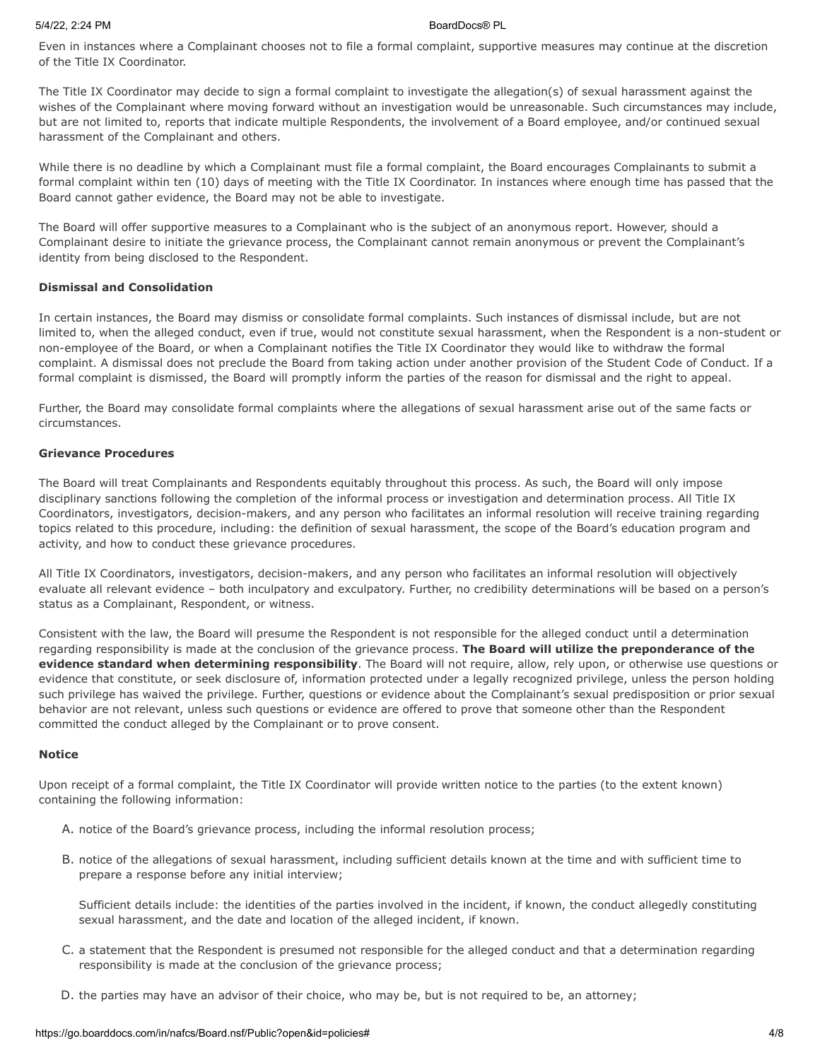Even in instances where a Complainant chooses not to file a formal complaint, supportive measures may continue at the discretion of the Title IX Coordinator.

The Title IX Coordinator may decide to sign a formal complaint to investigate the allegation(s) of sexual harassment against the wishes of the Complainant where moving forward without an investigation would be unreasonable. Such circumstances may include, but are not limited to, reports that indicate multiple Respondents, the involvement of a Board employee, and/or continued sexual harassment of the Complainant and others.

While there is no deadline by which a Complainant must file a formal complaint, the Board encourages Complainants to submit a formal complaint within ten (10) days of meeting with the Title IX Coordinator. In instances where enough time has passed that the Board cannot gather evidence, the Board may not be able to investigate.

The Board will offer supportive measures to a Complainant who is the subject of an anonymous report. However, should a Complainant desire to initiate the grievance process, the Complainant cannot remain anonymous or prevent the Complainant's identity from being disclosed to the Respondent.

# **Dismissal and Consolidation**

In certain instances, the Board may dismiss or consolidate formal complaints. Such instances of dismissal include, but are not limited to, when the alleged conduct, even if true, would not constitute sexual harassment, when the Respondent is a non-student or non-employee of the Board, or when a Complainant notifies the Title IX Coordinator they would like to withdraw the formal complaint. A dismissal does not preclude the Board from taking action under another provision of the Student Code of Conduct. If a formal complaint is dismissed, the Board will promptly inform the parties of the reason for dismissal and the right to appeal.

Further, the Board may consolidate formal complaints where the allegations of sexual harassment arise out of the same facts or circumstances.

## **Grievance Procedures**

The Board will treat Complainants and Respondents equitably throughout this process. As such, the Board will only impose disciplinary sanctions following the completion of the informal process or investigation and determination process. All Title IX Coordinators, investigators, decision-makers, and any person who facilitates an informal resolution will receive training regarding topics related to this procedure, including: the definition of sexual harassment, the scope of the Board's education program and activity, and how to conduct these grievance procedures.

All Title IX Coordinators, investigators, decision-makers, and any person who facilitates an informal resolution will objectively evaluate all relevant evidence – both inculpatory and exculpatory. Further, no credibility determinations will be based on a person's status as a Complainant, Respondent, or witness.

Consistent with the law, the Board will presume the Respondent is not responsible for the alleged conduct until a determination regarding responsibility is made at the conclusion of the grievance process. **The Board will utilize the preponderance of the evidence standard when determining responsibility**. The Board will not require, allow, rely upon, or otherwise use questions or evidence that constitute, or seek disclosure of, information protected under a legally recognized privilege, unless the person holding such privilege has waived the privilege. Further, questions or evidence about the Complainant's sexual predisposition or prior sexual behavior are not relevant, unless such questions or evidence are offered to prove that someone other than the Respondent committed the conduct alleged by the Complainant or to prove consent.

### **Notice**

Upon receipt of a formal complaint, the Title IX Coordinator will provide written notice to the parties (to the extent known) containing the following information:

- A. notice of the Board's grievance process, including the informal resolution process;
- B. notice of the allegations of sexual harassment, including sufficient details known at the time and with sufficient time to prepare a response before any initial interview;

Sufficient details include: the identities of the parties involved in the incident, if known, the conduct allegedly constituting sexual harassment, and the date and location of the alleged incident, if known.

- C. a statement that the Respondent is presumed not responsible for the alleged conduct and that a determination regarding responsibility is made at the conclusion of the grievance process;
- D. the parties may have an advisor of their choice, who may be, but is not required to be, an attorney;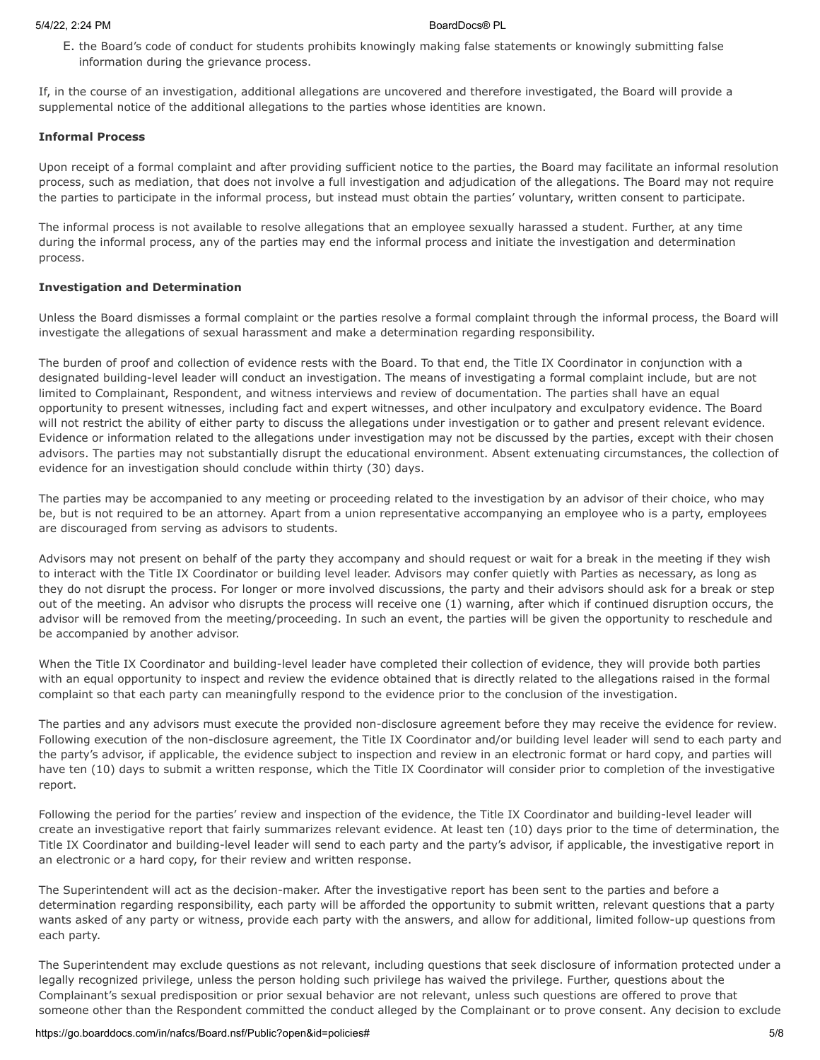E. the Board's code of conduct for students prohibits knowingly making false statements or knowingly submitting false information during the grievance process.

If, in the course of an investigation, additional allegations are uncovered and therefore investigated, the Board will provide a supplemental notice of the additional allegations to the parties whose identities are known.

### **Informal Process**

Upon receipt of a formal complaint and after providing sufficient notice to the parties, the Board may facilitate an informal resolution process, such as mediation, that does not involve a full investigation and adjudication of the allegations. The Board may not require the parties to participate in the informal process, but instead must obtain the parties' voluntary, written consent to participate.

The informal process is not available to resolve allegations that an employee sexually harassed a student. Further, at any time during the informal process, any of the parties may end the informal process and initiate the investigation and determination process.

## **Investigation and Determination**

Unless the Board dismisses a formal complaint or the parties resolve a formal complaint through the informal process, the Board will investigate the allegations of sexual harassment and make a determination regarding responsibility.

The burden of proof and collection of evidence rests with the Board. To that end, the Title IX Coordinator in conjunction with a designated building-level leader will conduct an investigation. The means of investigating a formal complaint include, but are not limited to Complainant, Respondent, and witness interviews and review of documentation. The parties shall have an equal opportunity to present witnesses, including fact and expert witnesses, and other inculpatory and exculpatory evidence. The Board will not restrict the ability of either party to discuss the allegations under investigation or to gather and present relevant evidence. Evidence or information related to the allegations under investigation may not be discussed by the parties, except with their chosen advisors. The parties may not substantially disrupt the educational environment. Absent extenuating circumstances, the collection of evidence for an investigation should conclude within thirty (30) days.

The parties may be accompanied to any meeting or proceeding related to the investigation by an advisor of their choice, who may be, but is not required to be an attorney. Apart from a union representative accompanying an employee who is a party, employees are discouraged from serving as advisors to students.

Advisors may not present on behalf of the party they accompany and should request or wait for a break in the meeting if they wish to interact with the Title IX Coordinator or building level leader. Advisors may confer quietly with Parties as necessary, as long as they do not disrupt the process. For longer or more involved discussions, the party and their advisors should ask for a break or step out of the meeting. An advisor who disrupts the process will receive one (1) warning, after which if continued disruption occurs, the advisor will be removed from the meeting/proceeding. In such an event, the parties will be given the opportunity to reschedule and be accompanied by another advisor.

When the Title IX Coordinator and building-level leader have completed their collection of evidence, they will provide both parties with an equal opportunity to inspect and review the evidence obtained that is directly related to the allegations raised in the formal complaint so that each party can meaningfully respond to the evidence prior to the conclusion of the investigation.

The parties and any advisors must execute the provided non-disclosure agreement before they may receive the evidence for review. Following execution of the non-disclosure agreement, the Title IX Coordinator and/or building level leader will send to each party and the party's advisor, if applicable, the evidence subject to inspection and review in an electronic format or hard copy, and parties will have ten (10) days to submit a written response, which the Title IX Coordinator will consider prior to completion of the investigative report.

Following the period for the parties' review and inspection of the evidence, the Title IX Coordinator and building-level leader will create an investigative report that fairly summarizes relevant evidence. At least ten (10) days prior to the time of determination, the Title IX Coordinator and building-level leader will send to each party and the party's advisor, if applicable, the investigative report in an electronic or a hard copy, for their review and written response.

The Superintendent will act as the decision-maker. After the investigative report has been sent to the parties and before a determination regarding responsibility, each party will be afforded the opportunity to submit written, relevant questions that a party wants asked of any party or witness, provide each party with the answers, and allow for additional, limited follow-up questions from each party.

The Superintendent may exclude questions as not relevant, including questions that seek disclosure of information protected under a legally recognized privilege, unless the person holding such privilege has waived the privilege. Further, questions about the Complainant's sexual predisposition or prior sexual behavior are not relevant, unless such questions are offered to prove that someone other than the Respondent committed the conduct alleged by the Complainant or to prove consent. Any decision to exclude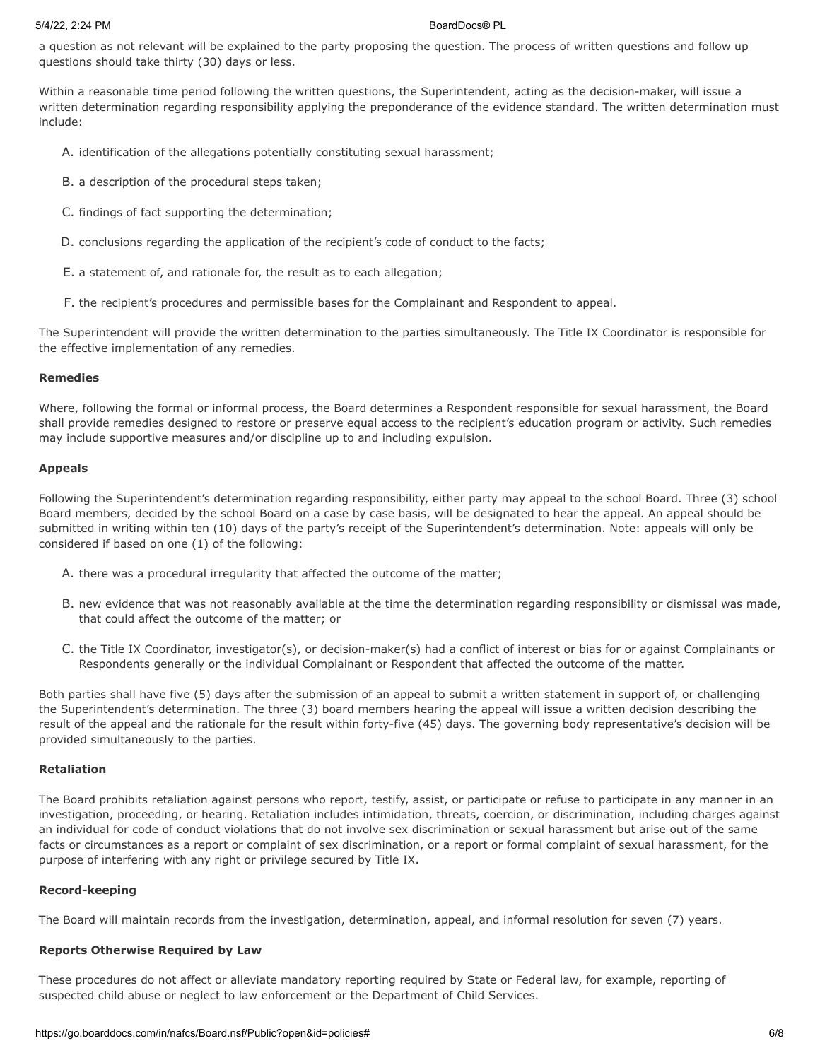a question as not relevant will be explained to the party proposing the question. The process of written questions and follow up questions should take thirty (30) days or less.

Within a reasonable time period following the written questions, the Superintendent, acting as the decision-maker, will issue a written determination regarding responsibility applying the preponderance of the evidence standard. The written determination must include:

- A. identification of the allegations potentially constituting sexual harassment;
- B. a description of the procedural steps taken;
- C. findings of fact supporting the determination;
- D. conclusions regarding the application of the recipient's code of conduct to the facts;
- E. a statement of, and rationale for, the result as to each allegation;
- F. the recipient's procedures and permissible bases for the Complainant and Respondent to appeal.

The Superintendent will provide the written determination to the parties simultaneously. The Title IX Coordinator is responsible for the effective implementation of any remedies.

## **Remedies**

Where, following the formal or informal process, the Board determines a Respondent responsible for sexual harassment, the Board shall provide remedies designed to restore or preserve equal access to the recipient's education program or activity. Such remedies may include supportive measures and/or discipline up to and including expulsion.

### **Appeals**

Following the Superintendent's determination regarding responsibility, either party may appeal to the school Board. Three (3) school Board members, decided by the school Board on a case by case basis, will be designated to hear the appeal. An appeal should be submitted in writing within ten (10) days of the party's receipt of the Superintendent's determination. Note: appeals will only be considered if based on one (1) of the following:

- A. there was a procedural irregularity that affected the outcome of the matter;
- B. new evidence that was not reasonably available at the time the determination regarding responsibility or dismissal was made, that could affect the outcome of the matter; or
- C. the Title IX Coordinator, investigator(s), or decision-maker(s) had a conflict of interest or bias for or against Complainants or Respondents generally or the individual Complainant or Respondent that affected the outcome of the matter.

Both parties shall have five (5) days after the submission of an appeal to submit a written statement in support of, or challenging the Superintendent's determination. The three (3) board members hearing the appeal will issue a written decision describing the result of the appeal and the rationale for the result within forty-five (45) days. The governing body representative's decision will be provided simultaneously to the parties.

### **Retaliation**

The Board prohibits retaliation against persons who report, testify, assist, or participate or refuse to participate in any manner in an investigation, proceeding, or hearing. Retaliation includes intimidation, threats, coercion, or discrimination, including charges against an individual for code of conduct violations that do not involve sex discrimination or sexual harassment but arise out of the same facts or circumstances as a report or complaint of sex discrimination, or a report or formal complaint of sexual harassment, for the purpose of interfering with any right or privilege secured by Title IX.

## **Record-keeping**

The Board will maintain records from the investigation, determination, appeal, and informal resolution for seven (7) years.

## **Reports Otherwise Required by Law**

These procedures do not affect or alleviate mandatory reporting required by State or Federal law, for example, reporting of suspected child abuse or neglect to law enforcement or the Department of Child Services.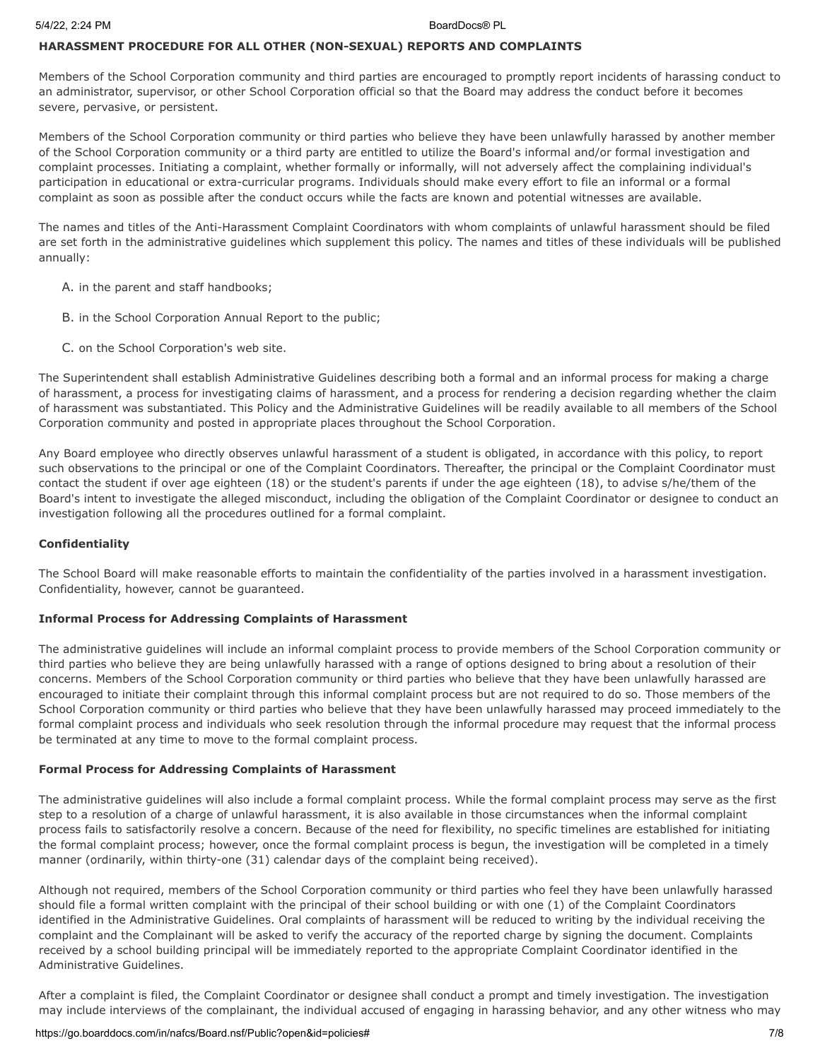## **HARASSMENT PROCEDURE FOR ALL OTHER (NON-SEXUAL) REPORTS AND COMPLAINTS**

Members of the School Corporation community and third parties are encouraged to promptly report incidents of harassing conduct to an administrator, supervisor, or other School Corporation official so that the Board may address the conduct before it becomes severe, pervasive, or persistent.

Members of the School Corporation community or third parties who believe they have been unlawfully harassed by another member of the School Corporation community or a third party are entitled to utilize the Board's informal and/or formal investigation and complaint processes. Initiating a complaint, whether formally or informally, will not adversely affect the complaining individual's participation in educational or extra-curricular programs. Individuals should make every effort to file an informal or a formal complaint as soon as possible after the conduct occurs while the facts are known and potential witnesses are available.

The names and titles of the Anti-Harassment Complaint Coordinators with whom complaints of unlawful harassment should be filed are set forth in the administrative guidelines which supplement this policy. The names and titles of these individuals will be published annually:

- A. in the parent and staff handbooks;
- B. in the School Corporation Annual Report to the public;
- C. on the School Corporation's web site.

The Superintendent shall establish Administrative Guidelines describing both a formal and an informal process for making a charge of harassment, a process for investigating claims of harassment, and a process for rendering a decision regarding whether the claim of harassment was substantiated. This Policy and the Administrative Guidelines will be readily available to all members of the School Corporation community and posted in appropriate places throughout the School Corporation.

Any Board employee who directly observes unlawful harassment of a student is obligated, in accordance with this policy, to report such observations to the principal or one of the Complaint Coordinators. Thereafter, the principal or the Complaint Coordinator must contact the student if over age eighteen (18) or the student's parents if under the age eighteen (18), to advise s/he/them of the Board's intent to investigate the alleged misconduct, including the obligation of the Complaint Coordinator or designee to conduct an investigation following all the procedures outlined for a formal complaint.

### **Confidentiality**

The School Board will make reasonable efforts to maintain the confidentiality of the parties involved in a harassment investigation. Confidentiality, however, cannot be guaranteed.

### **Informal Process for Addressing Complaints of Harassment**

The administrative guidelines will include an informal complaint process to provide members of the School Corporation community or third parties who believe they are being unlawfully harassed with a range of options designed to bring about a resolution of their concerns. Members of the School Corporation community or third parties who believe that they have been unlawfully harassed are encouraged to initiate their complaint through this informal complaint process but are not required to do so. Those members of the School Corporation community or third parties who believe that they have been unlawfully harassed may proceed immediately to the formal complaint process and individuals who seek resolution through the informal procedure may request that the informal process be terminated at any time to move to the formal complaint process.

### **Formal Process for Addressing Complaints of Harassment**

The administrative guidelines will also include a formal complaint process. While the formal complaint process may serve as the first step to a resolution of a charge of unlawful harassment, it is also available in those circumstances when the informal complaint process fails to satisfactorily resolve a concern. Because of the need for flexibility, no specific timelines are established for initiating the formal complaint process; however, once the formal complaint process is begun, the investigation will be completed in a timely manner (ordinarily, within thirty-one (31) calendar days of the complaint being received).

Although not required, members of the School Corporation community or third parties who feel they have been unlawfully harassed should file a formal written complaint with the principal of their school building or with one (1) of the Complaint Coordinators identified in the Administrative Guidelines. Oral complaints of harassment will be reduced to writing by the individual receiving the complaint and the Complainant will be asked to verify the accuracy of the reported charge by signing the document. Complaints received by a school building principal will be immediately reported to the appropriate Complaint Coordinator identified in the Administrative Guidelines.

After a complaint is filed, the Complaint Coordinator or designee shall conduct a prompt and timely investigation. The investigation may include interviews of the complainant, the individual accused of engaging in harassing behavior, and any other witness who may